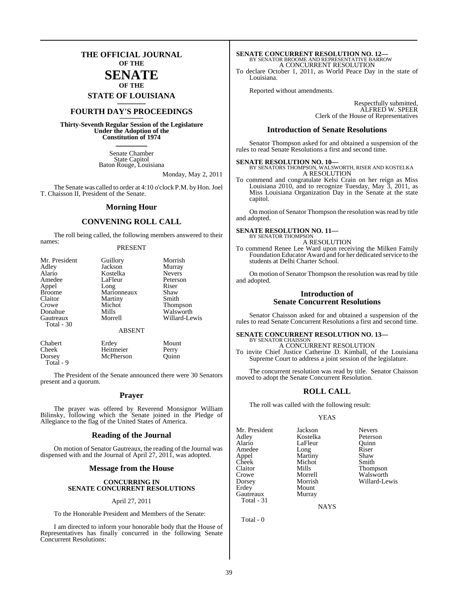### **THE OFFICIAL JOURNAL OF THE**

#### **SENATE OF THE**

**STATE OF LOUISIANA \_\_\_\_\_\_\_**

### **FOURTH DAY'S PROCEEDINGS \_\_\_\_\_\_\_**

**Thirty-Seventh Regular Session of the Legislature Under the Adoption of the Constitution of 1974 \_\_\_\_\_\_\_**

> Senate Chamber State Capitol Baton Rouge, Louisiana

> > Monday, May 2, 2011

The Senate was called to order at 4:10 o'clock P.M. by Hon. Joel T. Chaisson II, President of the Senate.

#### **Morning Hour**

#### **CONVENING ROLL CALL**

The roll being called, the following members answered to their names:

#### PRESENT

| Mr. President<br>Adley<br>Alario<br>Amedee<br>Appel<br><b>Broome</b><br>Claitor<br>Crowe<br>Donahue<br>Gautreaux<br>Total - 30 | Guillory<br>Jackson<br>Kostelka<br>LaFleur<br>Long<br>Marionneaux<br>Martiny<br>Michot<br>Mills<br>Morrell | Morrish<br>Murray<br><b>Nevers</b><br>Peterson<br>Riser<br>Shaw<br>Smith<br><b>Thompson</b><br>Walsworth<br>Willard-Lewis |
|--------------------------------------------------------------------------------------------------------------------------------|------------------------------------------------------------------------------------------------------------|---------------------------------------------------------------------------------------------------------------------------|
|                                                                                                                                | <b>ABSENT</b>                                                                                              |                                                                                                                           |
| Chabert                                                                                                                        | Erdev                                                                                                      | Mount                                                                                                                     |

Cheek Heitmeier Perry Dorsey McPherson Quinn Total - 9

The President of the Senate announced there were 30 Senators present and a quorum.

#### **Prayer**

The prayer was offered by Reverend Monsignor William Bilinsky, following which the Senate joined in the Pledge of Allegiance to the flag of the United States of America.

#### **Reading of the Journal**

On motion of Senator Gautreaux, the reading of the Journal was dispensed with and the Journal of April 27, 2011, was adopted.

#### **Message from the House**

#### **CONCURRING IN SENATE CONCURRENT RESOLUTIONS**

#### April 27, 2011

To the Honorable President and Members of the Senate:

I am directed to inform your honorable body that the House of Representatives has finally concurred in the following Senate Concurrent Resolutions:

### **SENATE CONCURRENT RESOLUTION NO. 12—** BY SENATOR BROOME AND REPRESENTATIVE BARROW A CONCURRENT RESOLUTION

To declare October 1, 2011, as World Peace Day in the state of Louisiana.

Reported without amendments.

Respectfully submitted, ALFRED W. SPEER Clerk of the House of Representatives

#### **Introduction of Senate Resolutions**

Senator Thompson asked for and obtained a suspension of the rules to read Senate Resolutions a first and second time.

**SENATE RESOLUTION NO. 10—** BY SENATORS THOMPSON, WALSWORTH, RISER AND KOSTELKA A RESOLUTION

To commend and congratulate Kelsi Crain on her reign as Miss Louisiana 2010, and to recognize Tuesday, May 3, 2011, as Miss Louisiana Organization Day in the Senate at the state capitol.

On motion of Senator Thompson the resolution was read by title and adopted.

#### **SENATE RESOLUTION NO. 11—**

BY SENATOR THOMPSON A RESOLUTION

To commend Renee Lee Ward upon receiving the Milken Family Foundation Educator Award and for her dedicated service to the students at Delhi Charter School.

On motion of Senator Thompson the resolution was read by title and adopted.

#### **Introduction of Senate Concurrent Resolutions**

Senator Chaisson asked for and obtained a suspension of the rules to read Senate Concurrent Resolutions a first and second time.

### **SENATE CONCURRENT RESOLUTION NO. 13—** BY SENATOR CHAISSON

A CONCURRENT RESOLUTION

To invite Chief Justice Catherine D. Kimball, of the Louisiana Supreme Court to address a joint session of the legislature.

The concurrent resolution was read by title. Senator Chaisson moved to adopt the Senate Concurrent Resolution.

#### **ROLL CALL**

The roll was called with the following result:

#### YEAS

Mr. President Jackson Nevers<br>Adley Kostelka Peterson Adley Kostelka Peterson Amedee Long Riser<br>
Appel Martiny Shaw Appel Martiny Shaw<br>Cheek Michot Smith Cheek Michot<br>Claitor Mills Claitor Mills Thompson Crowe Morrell Walsworth<br>
Dorsey Morrish Willard-Le Dorsey Morrish Willard-Lewis Gautreaux Total - 31

LaFleur Quinn<br>Long Riser Mount<br>Murray

**NAYS** 

Total - 0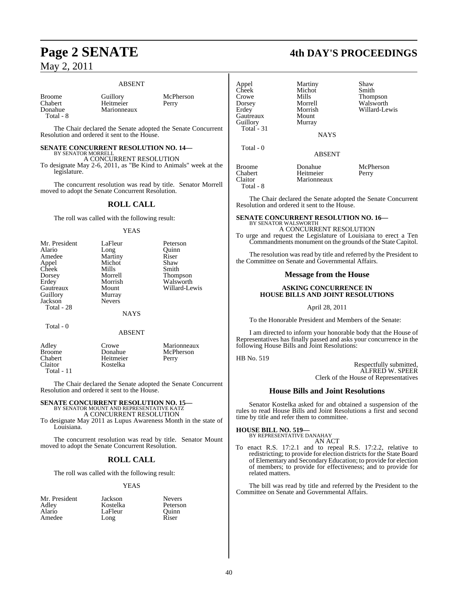### May 2, 2011

#### ABSENT

Broome Guillory McPherson<br>Chabert Heitmeier Perry Chabert Heitmeier Perry<br>
Donahue Marionneaux Perry Total - 8

**Marionneaux** 

The Chair declared the Senate adopted the Senate Concurrent Resolution and ordered it sent to the House.

#### **SENATE CONCURRENT RESOLUTION NO. 14—** BY SENATOR MORRELL

A CONCURRENT RESOLUTION

To designate May 2-6, 2011, as "Be Kind to Animals" week at the legislature.

The concurrent resolution was read by title. Senator Morrell moved to adopt the Senate Concurrent Resolution.

#### **ROLL CALL**

The roll was called with the following result:

#### **YEAS**

| Mr. President | LaFleur       | Peterson      |
|---------------|---------------|---------------|
| Alario        | Long          | Ouinn         |
| Amedee        | Martiny       | Riser         |
| Appel         | Michot        | Shaw          |
| Cheek         | Mills         | Smith         |
| Dorsey        | Morrell       | Thompson      |
| Erdey         | Morrish       | Walsworth     |
| Gautreaux     | Mount         | Willard-Lewis |
| Guillory      | Murray        |               |
| Jackson       | <b>Nevers</b> |               |
| Total - 28    |               |               |

#### **NAYS**

Total - 0

#### ABSENT

| Adley      | Crowe     | Marionneaux |
|------------|-----------|-------------|
| Broome     | Donahue   | McPherson   |
| Chabert    | Heitmeier | Perry       |
| Claitor    | Kostelka  |             |
| Total - 11 |           |             |

The Chair declared the Senate adopted the Senate Concurrent Resolution and ordered it sent to the House.

## **SENATE CONCURRENT RESOLUTION NO. 15—** BY SENATOR MOUNT AND REPRESENTATIVE KATZ

A CONCURRENT RESOLUTION

To designate May 2011 as Lupus Awareness Month in the state of Louisiana.

The concurrent resolution was read by title. Senator Mount moved to adopt the Senate Concurrent Resolution.

#### **ROLL CALL**

The roll was called with the following result:

LaFleur

#### YEAS

- Mr. President Jackson Nevers<br>Adley Kostelka Peterson Adley Kostelka Peterson Amedee Long Riser
	-

| Appel<br>Cheek<br>Crowe<br>Dorsey<br>Erdey<br>Gautreaux<br>Guillory<br>Total $-31$ | Martiny<br>Michot<br>Mills<br>Morrell<br>Morrish<br>Mount<br>Murray<br><b>NAYS</b> | Shaw<br>Smith<br><b>Thompson</b><br>Walsworth<br>Willard-Lewis |
|------------------------------------------------------------------------------------|------------------------------------------------------------------------------------|----------------------------------------------------------------|
| Total - 0                                                                          | <b>ABSENT</b>                                                                      |                                                                |
| <b>Broome</b><br>Chabert                                                           | Donahue<br>Heitmeier                                                               | McPherson<br>Perry                                             |

Claitor Marionneaux Total - 8

The Chair declared the Senate adopted the Senate Concurrent Resolution and ordered it sent to the House.

#### **SENATE CONCURRENT RESOLUTION NO. 16—** BY SENATOR WALSWORTH

A CONCURRENT RESOLUTION To urge and request the Legislature of Louisiana to erect a Ten Commandments monument on the grounds of the State Capitol.

The resolution was read by title and referred by the President to the Committee on Senate and Governmental Affairs.

#### **Message from the House**

#### **ASKING CONCURRENCE IN HOUSE BILLS AND JOINT RESOLUTIONS**

April 28, 2011

To the Honorable President and Members of the Senate:

I am directed to inform your honorable body that the House of Representatives has finally passed and asks your concurrence in the following House Bills and Joint Resolutions:

#### HB No. 519

Respectfully submitted, ALFRED W. SPEER Clerk of the House of Representatives

#### **House Bills and Joint Resolutions**

Senator Kostelka asked for and obtained a suspension of the rules to read House Bills and Joint Resolutions a first and second time by title and refer them to committee.

**HOUSE BILL NO. 519—** BY REPRESENTATIVE DANAHAY AN ACT

To enact R.S. 17:2.1 and to repeal R.S. 17:2.2, relative to redistricting; to provide for election districts for the State Board of Elementary and Secondary Education; to provide for election of members; to provide for effectiveness; and to provide for related matters.

The bill was read by title and referred by the President to the Committee on Senate and Governmental Affairs.

### **Page 2 SENATE 4th DAY'S PROCEEDINGS**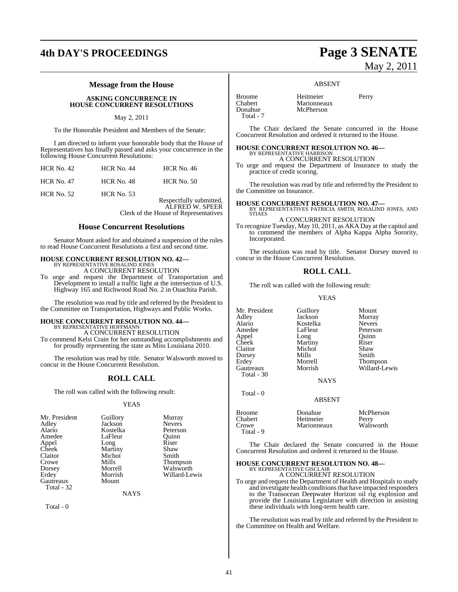### **4th DAY'S PROCEEDINGS Page 3 SENATE**

#### **Message from the House**

#### **ASKING CONCURRENCE IN HOUSE CONCURRENT RESOLUTIONS**

#### May 2, 2011

To the Honorable President and Members of the Senate:

I am directed to inform your honorable body that the House of Representatives has finally passed and asks your concurrence in the following House Concurrent Resolutions:

| $HCR$ No. 42      | $HCR$ No. 44      | <b>HCR</b> No. 46       |
|-------------------|-------------------|-------------------------|
| <b>HCR No. 47</b> | <b>HCR</b> No. 48 | $HCR$ No. 50            |
| HCR No. $52$      | <b>HCR No. 53</b> | Respectfully submitted, |

ALFRED W. SPEER Clerk of the House of Representatives

#### **House Concurrent Resolutions**

Senator Mount asked for and obtained a suspension of the rules to read House Concurrent Resolutions a first and second time.

### **HOUSE CONCURRENT RESOLUTION NO. 42—** BY REPRESENTATIVE ROSALIND JONES

A CONCURRENT RESOLUTION

To urge and request the Department of Transportation and Development to install a traffic light at the intersection of U.S. Highway 165 and Richwood Road No. 2 in Ouachita Parish.

The resolution was read by title and referred by the President to the Committee on Transportation, Highways and Public Works.

### **HOUSE CONCURRENT RESOLUTION NO. 44—**

BY REPRESENTATIVE HOFFMANN A CONCURRENT RESOLUTION

To commend Kelsi Crain for her outstanding accomplishments and for proudly representing the state as Miss Louisiana 2010.

The resolution was read by title. Senator Walsworth moved to concur in the House Concurrent Resolution.

#### **ROLL CALL**

The roll was called with the following result:

#### YEAS

| Mr. President | Guillory | Murray          |
|---------------|----------|-----------------|
| Adley         | Jackson  | <b>Nevers</b>   |
| Alario        | Kostelka | Peterson        |
| Amedee        | LaFleur  | Ouinn           |
| Appel         | Long     | Riser           |
| Cheek         | Martiny  | Shaw            |
| Claitor       | Michot   | Smith           |
| Crowe         | Mills    | <b>Thompson</b> |
| Dorsey        | Morrell  | Walsworth       |
| Erdey         | Morrish  | Willard-Lewis   |
| Gautreaux     | Mount    |                 |
| Total - 32    |          |                 |

**NAYS** 

Total - 0

# May 2, 2011

#### ABSENT

| <b>Broome</b>  | Heitmeier   | Perry |
|----------------|-------------|-------|
| <b>Chabert</b> | Marionneaux |       |
| Donahue        | McPherson   |       |
| Total - 7      |             |       |

The Chair declared the Senate concurred in the House Concurrent Resolution and ordered it returned to the House.

**HOUSE CONCURRENT RESOLUTION NO. 46—** BY REPRESENTATIVE HARRISON A CONCURRENT RESOLUTION

To urge and request the Department of Insurance to study the practice of credit scoring.

The resolution was read by title and referred by the President to the Committee on Insurance.

**HOUSE CONCURRENT RESOLUTION NO. 47—** BY REPRESENTATIVES PATRICIA SMITH, ROSALIND JONES, AND STIAES

A CONCURRENT RESOLUTION

To recognize Tuesday, May 10, 2011, as AKA Day at the capitol and to commend the members of Alpha Kappa Alpha Sorority, Incorporated.

The resolution was read by title. Senator Dorsey moved to concur in the House Concurrent Resolution.

#### **ROLL CALL**

The roll was called with the following result:

YEAS

Mr. President Guillory Mount<br>Adley Jackson Murray Adley Jackson Murray<br>Alario Kostelka Nevers Alario Kostelka<br>Amedee LaFleur Appel Long Quinn<br>Cheek Martiny Riser Cheek Martiny<br>Claitor Michot Dorsey Mills<br>Erdev Morrell Total - 30

Total - 0

Michot Shaw<br>
Mills Smith

Peterson<br>Ouinn Erdey Morrell Thompson<br>Gautreaux Morrish Willard-Le Willard-Lewis

**NAYS** 

#### ABSENT

| Broome<br>Chabert<br>Crowe<br>Total - 9 | Donahue<br>Heitmeier<br>Marionneaux | McPherson<br>Perry<br>Walsworth |
|-----------------------------------------|-------------------------------------|---------------------------------|
|-----------------------------------------|-------------------------------------|---------------------------------|

The Chair declared the Senate concurred in the House Concurrent Resolution and ordered it returned to the House.

# **HOUSE CONCURRENT RESOLUTION NO. 48—** BY REPRESENTATIVE GISCLAIR A CONCURRENT RESOLUTION

To urge and request the Department of Health and Hospitals to study and investigate health conditionsthat have impacted responders to the Transocean Deepwater Horizon oil rig explosion and provide the Louisiana Legislature with direction in assisting these individuals with long-term health care.

The resolution was read by title and referred by the President to the Committee on Health and Welfare.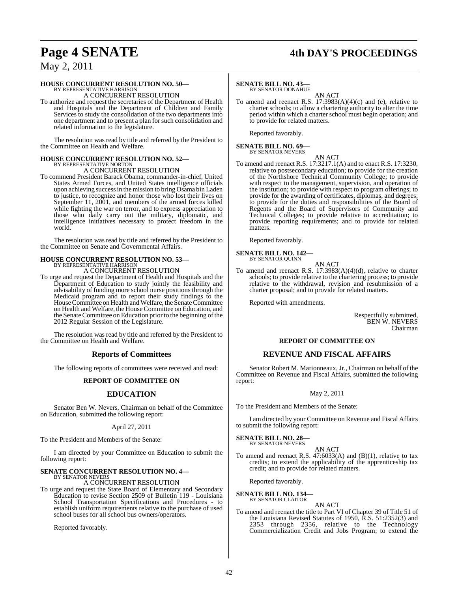### **Page 4 SENATE 4th DAY'S PROCEEDINGS**

### May 2, 2011

#### **HOUSE CONCURRENT RESOLUTION NO. 50—**

BY REPRESENTATIVE HARRISON A CONCURRENT RESOLUTION

To authorize and request the secretaries of the Department of Health and Hospitals and the Department of Children and Family Services to study the consolidation of the two departments into one department and to present a plan forsuch consolidation and related information to the legislature.

The resolution was read by title and referred by the President to the Committee on Health and Welfare.

#### **HOUSE CONCURRENT RESOLUTION NO. 52—** BY REPRESENTATIVE NORTON

A CONCURRENT RESOLUTION

To commend President Barack Obama, commander-in-chief, United States Armed Forces, and United States intelligence officials upon achieving successin the mission to bring Osama bin Laden to justice, to recognize and honor those who lost their lives on September 11, 2001, and members of the armed forces killed while fighting the war on terror, and to express appreciation to those who daily carry out the military, diplomatic, and intelligence initiatives necessary to protect freedom in the world.

The resolution was read by title and referred by the President to the Committee on Senate and Governmental Affairs.

#### **HOUSE CONCURRENT RESOLUTION NO. 53—**

2012 Regular Session of the Legislature.

BY REPRESENTATIVE HARRISON A CONCURRENT RESOLUTION

To urge and request the Department of Health and Hospitals and the Department of Education to study jointly the feasibility and advisability of funding more school nurse positions through the Medicaid program and to report their study findings to the House Committee on Health and Welfare, the Senate Committee on Health and Welfare, the HouseCommittee on Education, and

The resolution was read by title and referred by the President to the Committee on Health and Welfare.

the Senate Committee on Education prior to the beginning of the

#### **Reports of Committees**

The following reports of committees were received and read:

#### **REPORT OF COMMITTEE ON**

#### **EDUCATION**

Senator Ben W. Nevers, Chairman on behalf of the Committee on Education, submitted the following report:

#### April 27, 2011

To the President and Members of the Senate:

I am directed by your Committee on Education to submit the following report:

#### **SENATE CONCURRENT RESOLUTION NO. 4—** BY SENATOR NEVERS

#### A CONCURRENT RESOLUTION

To urge and request the State Board of Elementary and Secondary Education to revise Section 2509 of Bulletin 119 - Louisiana School Transportation Specifications and Procedures - to establish uniform requirements relative to the purchase of used school buses for all school bus owners/operators.

Reported favorably.

#### **SENATE BILL NO. 43—**

BY SENATOR DONAHUE

AN ACT To amend and reenact R.S. 17:3983(A)(4)(c) and (e), relative to charter schools; to allow a chartering authority to alter the time period within which a charter school must begin operation; and to provide for related matters.

Reported favorably.

### **SENATE BILL NO. 69—** BY SENATOR NEVERS

AN ACT

To amend and reenact R.S. 17:3217.1(A) and to enact R.S. 17:3230, relative to postsecondary education; to provide for the creation of the Northshore Technical Community College; to provide with respect to the management, supervision, and operation of the institution; to provide with respect to program offerings; to provide for the awarding of certificates, diplomas, and degrees; to provide for the duties and responsibilities of the Board of Regents and the Board of Supervisors of Community and Technical Colleges; to provide relative to accreditation; to provide reporting requirements; and to provide for related matters.

Reported favorably.

### **SENATE BILL NO. 142—** BY SENATOR QUINN

To amend and reenact R.S. 17:3983(A)(4)(d), relative to charter schools; to provide relative to the chartering process; to provide relative to the withdrawal, revision and resubmission of a charter proposal; and to provide for related matters.

AN ACT

Reported with amendments.

Respectfully submitted, BEN W. NEVERS Chairman

#### **REPORT OF COMMITTEE ON**

#### **REVENUE AND FISCAL AFFAIRS**

Senator Robert M. Marionneaux, Jr., Chairman on behalf of the Committee on Revenue and Fiscal Affairs, submitted the following report:

#### May 2, 2011

To the President and Members of the Senate:

I am directed by your Committee on Revenue and Fiscal Affairs to submit the following report:

### **SENATE BILL NO. 28—** BY SENATOR NEVERS

AN ACT To amend and reenact R.S. 47:6033(A) and (B)(1), relative to tax credits; to extend the applicability of the apprenticeship tax credit; and to provide for related matters.

Reported favorably.

**SENATE BILL NO. 134—** BY SENATOR CLAITOR

#### AN ACT

To amend and reenact the title to Part VI of Chapter 39 of Title 51 of the Louisiana Revised Statutes of 1950, R.S. 51:2352(3) and 2353 through 2356, relative to the Technology Commercialization Credit and Jobs Program; to extend the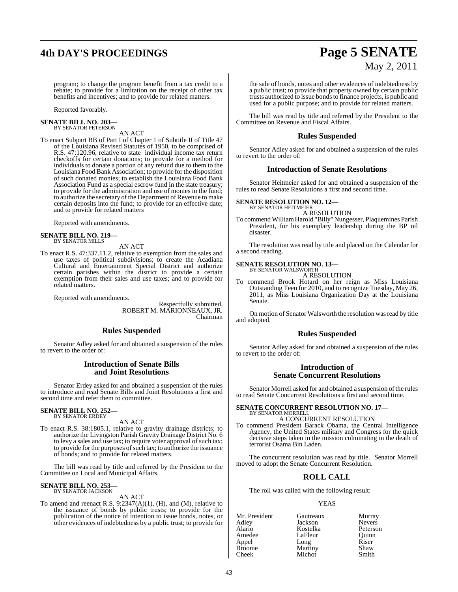## **4th DAY'S PROCEEDINGS Page 5 SENATE**

# May 2, 2011

program; to change the program benefit from a tax credit to a rebate; to provide for a limitation on the receipt of other tax benefits and incentives; and to provide for related matters.

Reported favorably.

#### **SENATE BILL NO. 203—** BY SENATOR PETERSON

AN ACT

To enact Subpart BB of Part I of Chapter 1 of Subtitle II of Title 47 of the Louisiana Revised Statutes of 1950, to be comprised of R.S. 47:120.96, relative to state individual income tax return checkoffs for certain donations; to provide for a method for individuals to donate a portion of any refund due to them to the Louisiana Food Bank Association; to provide forthe disposition of such donated monies; to establish the Louisiana Food Bank Association Fund as a special escrow fund in the state treasury; to provide for the administration and use of monies in the fund; to authorize the secretary of the Department of Revenue to make certain deposits into the fund; to provide for an effective date; and to provide for related matters

Reported with amendments.

### **SENATE BILL NO. 219—** BY SENATOR MILLS

AN ACT

To enact R.S. 47:337.11.2, relative to exemption from the sales and use taxes of political subdivisions; to create the Acadiana Cultural and Entertainment Special District and authorize certain parishes within the district to provide a certain exemption from their sales and use taxes; and to provide for related matters.

Reported with amendments.

Respectfully submitted, ROBERT M. MARIONNEAUX, JR. Chairman

#### **Rules Suspended**

Senator Adley asked for and obtained a suspension of the rules to revert to the order of:

#### **Introduction of Senate Bills and Joint Resolutions**

Senator Erdey asked for and obtained a suspension of the rules to introduce and read Senate Bills and Joint Resolutions a first and second time and refer them to committee.

#### **SENATE BILL NO. 252—** BY SENATOR ERDEY

AN ACT

To enact R.S. 38:1805.1, relative to gravity drainage districts; to authorize the Livingston Parish Gravity Drainage District No. 6 to levy a sales and use tax; to require voter approval of such tax; to provide for the purposes of such tax; to authorize the issuance of bonds; and to provide for related matters.

The bill was read by title and referred by the President to the Committee on Local and Municipal Affairs.

### **SENATE BILL NO. 253—** BY SENATOR JACKSON

AN ACT

To amend and reenact R.S.  $9.2347(A)(1)$ , (H), and (M), relative to the issuance of bonds by public trusts; to provide for the publication of the notice of intention to issue bonds, notes, or other evidences of indebtedness by a public trust; to provide for

the sale of bonds, notes and other evidences of indebtedness by a public trust; to provide that property owned by certain public trusts authorized to issue bondsto finance projects, is public and used for a public purpose; and to provide for related matters.

The bill was read by title and referred by the President to the Committee on Revenue and Fiscal Affairs.

#### **Rules Suspended**

Senator Adley asked for and obtained a suspension of the rules to revert to the order of:

#### **Introduction of Senate Resolutions**

Senator Heitmeier asked for and obtained a suspension of the rules to read Senate Resolutions a first and second time.

#### **SENATE RESOLUTION NO. 12—** BY SENATOR HEITMEIER

A RESOLUTION

To commend WilliamHarold "Billy"Nungesser, Plaquemines Parish President, for his exemplary leadership during the BP oil disaster.

The resolution was read by title and placed on the Calendar for a second reading.

#### **SENATE RESOLUTION NO. 13—** BY SENATOR WALSWORTH

A RESOLUTION

To commend Brook Hotard on her reign as Miss Louisiana Outstanding Teen for 2010, and to recognize Tuesday, May 26, 2011, as Miss Louisiana Organization Day at the Louisiana Senate.

On motion of Senator Walsworth the resolution was read by title and adopted.

#### **Rules Suspended**

Senator Adley asked for and obtained a suspension of the rules to revert to the order of:

#### **Introduction of Senate Concurrent Resolutions**

Senator Morrell asked for and obtained a suspension of the rules to read Senate Concurrent Resolutions a first and second time.

#### **SENATE CONCURRENT RESOLUTION NO. 17—** BY SENATOR MORRELL

#### A CONCURRENT RESOLUTION

To commend President Barack Obama, the Central Intelligence Agency, the United States military and Congress for the quick decisive steps taken in the mission culminating in the death of terrorist Osama Bin Laden.

The concurrent resolution was read by title. Senator Morrell moved to adopt the Senate Concurrent Resolution.

#### **ROLL CALL**

The roll was called with the following result:

#### YEAS

| Mr. President<br>Gautreaux | Murray        |
|----------------------------|---------------|
| Adley<br>Jackson           | <b>Nevers</b> |
| Alario<br>Kostelka         | Peterson      |
| Amedee<br>LaFleur          | Quinn         |
| Appel<br>Long              | Riser         |
| Martiny<br>Broome          | Shaw          |
| Michot<br>Cheek            | Smith         |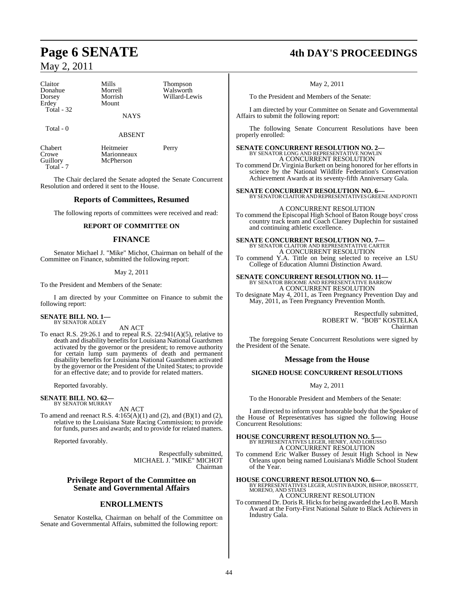### May 2, 2011

| Claitor     | Mills       | <b>Thompson</b> |
|-------------|-------------|-----------------|
| Donahue     | Morrell     | Walsworth       |
| Dorsey      | Morrish     | Willard-Lewis   |
| Erdey       | Mount       |                 |
| Total $-32$ |             |                 |
|             | <b>NAYS</b> |                 |
| Total - 0   |             |                 |
|             | ABSENT      |                 |

Crowe Marionneaux<br>
Guillory McPherson Total<sup>-</sup>7

Chabert Heitmeier Perry<br>
Crowe Marionneaux McPherson

The Chair declared the Senate adopted the Senate Concurrent Resolution and ordered it sent to the House.

#### **Reports of Committees, Resumed**

The following reports of committees were received and read:

#### **REPORT OF COMMITTEE ON**

#### **FINANCE**

Senator Michael J. "Mike" Michot, Chairman on behalf of the Committee on Finance, submitted the following report:

May 2, 2011

To the President and Members of the Senate:

I am directed by your Committee on Finance to submit the following report:

**SENATE BILL NO. 1—** BY SENATOR ADLEY

AN ACT

To enact R.S. 29:26.1 and to repeal R.S. 22:941(A)(5), relative to death and disability benefits for Louisiana National Guardsmen activated by the governor or the president; to remove authority for certain lump sum payments of death and permanent disability benefits for Louisiana National Guardsmen activated by the governor or the President of the United States; to provide for an effective date; and to provide for related matters.

Reported favorably.

#### **SENATE BILL NO. 62—** BY SENATOR MURRAY

AN ACT

To amend and reenact R.S.  $4:165(A)(1)$  and  $(2)$ , and  $(B)(1)$  and  $(2)$ , relative to the Louisiana State Racing Commission; to provide for funds, purses and awards; and to provide for related matters.

Reported favorably.

Respectfully submitted, MICHAEL J. "MIKE" MICHOT Chairman

#### **Privilege Report of the Committee on Senate and Governmental Affairs**

#### **ENROLLMENTS**

Senator Kostelka, Chairman on behalf of the Committee on Senate and Governmental Affairs, submitted the following report:

### **Page 6 SENATE 4th DAY'S PROCEEDINGS**

May 2, 2011

To the President and Members of the Senate:

I am directed by your Committee on Senate and Governmental Affairs to submit the following report:

The following Senate Concurrent Resolutions have been properly enrolled:

**SENATE CONCURRENT RESOLUTION NO. 2—** BY SENATOR LONG AND REPRESENTATIVE NOWLIN A CONCURRENT RESOLUTION

To commend Dr.Virginia Burkett on being honored for her efforts in science by the National Wildlife Federation's Conservation Achievement Awards at its seventy-fifth Anniversary Gala.

**SENATE CONCURRENT RESOLUTION NO. 6—** BY SENATOR CLAITOR AND REPRESENTATIVES GREENE AND PONTI

A CONCURRENT RESOLUTION To commend the Episcopal High School of Baton Rouge boys' cross country track team and Coach Claney Duplechin for sustained and continuing athletic excellence.

### **SENATE CONCURRENT RESOLUTION NO. 7—** BY SENATOR CLAITOR AND REPRESENTATIVE CARTER A CONCURRENT RESOLUTION

To commend Y.A. Tittle on being selected to receive an LSU College of Education Alumni Distinction Award.

### **SENATE CONCURRENT RESOLUTION NO. 11—** BY SENATOR BROOME AND REPRESENTATIVE BARROW

A CONCURRENT RESOLUTION To designate May 4, 2011, as Teen Pregnancy Prevention Day and May, 2011, as Teen Pregnancy Prevention Month.

> Respectfully submitted, ROBERT W. "BOB" KOSTELKA Chairman

The foregoing Senate Concurrent Resolutions were signed by the President of the Senate.

#### **Message from the House**

#### **SIGNED HOUSE CONCURRENT RESOLUTIONS**

May 2, 2011

To the Honorable President and Members of the Senate:

I am directed to inform your honorable body that the Speaker of the House of Representatives has signed the following House Concurrent Resolutions:

**HOUSE CONCURRENT RESOLUTION NO. 5—** BY REPRESENTATIVES LEGER, HENRY, AND LORUSSO A CONCURRENT RESOLUTION

To commend Eric Walker Bussey of Jesuit High School in New Orleans upon being named Louisiana's Middle School Student of the Year.

**HOUSE CONCURRENT RESOLUTION NO. 6—** BY REPRESENTATIVES LEGER, AUSTIN BADON, BISHOP, BROSSETT, MORENO, AND STIAES

A CONCURRENT RESOLUTION

To commend Dr. Doris R. Hicks for being awarded the Leo B. Marsh Award at the Forty-First National Salute to Black Achievers in Industry Gala.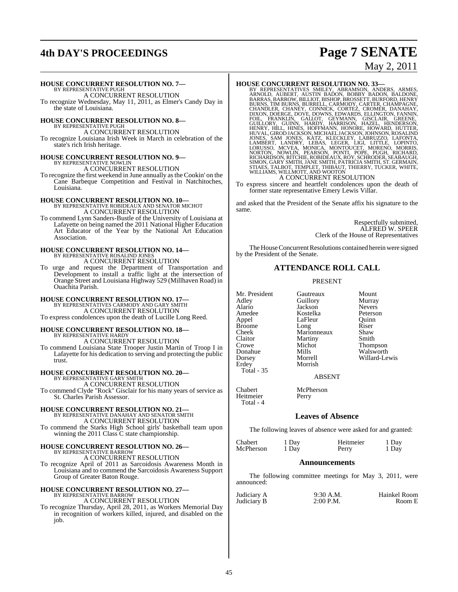### **4th DAY'S PROCEEDINGS Page 7 SENATE**

# May 2, 2011

### **HOUSE CONCURRENT RESOLUTION NO. 7—** BY REPRESENTATIVE PUGH

A CONCURRENT RESOLUTION To recognize Wednesday, May 11, 2011, as Elmer's Candy Day in the state of Louisiana.

### **HOUSE CONCURRENT RESOLUTION NO. 8—** BY REPRESENTATIVE PUGH

A CONCURRENT RESOLUTION

To recognize Louisiana Irish Week in March in celebration of the state's rich Irish heritage.

# **HOUSE CONCURRENT RESOLUTION NO. 9—**<br>BY REPRESENTATIVE NOWLIN<br>A CONCURRENT RESOLUTION

To recognize the first weekend in June annually asthe Cookin' on the Cane Barbeque Competition and Festival in Natchitoches, Louisiana.

### **HOUSE CONCURRENT RESOLUTION NO. 10—** BY REPRESENTATIVE ROBIDEAUX AND SENATOR MICHOT A CONCURRENT RESOLUTION

To commend Lynn Sanders-Bustle of the University of Louisiana at Lafayette on being named the 2011 National Higher Education Art Educator of the Year by the National Art Education Association.

### **HOUSE CONCURRENT RESOLUTION NO. 14—** BY REPRESENTATIVE ROSALIND JONES A CONCURRENT RESOLUTION

To urge and request the Department of Transportation and Development to install a traffic light at the intersection of Orange Street and Louisiana Highway 529 (Millhaven Road) in Ouachita Parish.

### **HOUSE CONCURRENT RESOLUTION NO. 17—** BY REPRESENTATIVES CARMODY AND GARY SMITH A CONCURRENT RESOLUTION

To express condolences upon the death of Lucille Long Reed.

#### **HOUSE CONCURRENT RESOLUTION NO. 18—** BY REPRESENTATIVE HARDY A CONCURRENT RESOLUTION

To commend Louisiana State Trooper Justin Martin of Troop I in Lafayette for his dedication to serving and protecting the public trust.

## **HOUSE CONCURRENT RESOLUTION NO. 20—** BY REPRESENTATIVE GARY SMITH

A CONCURRENT RESOLUTION To commend Clyde "Rock" Gisclair for his many years of service as St. Charles Parish Assessor.

# **HOUSE CONCURRENT RESOLUTION NO. 21—** BY REPRESENTATIVE DANAHAY AND SENATOR SMITH A CONCURRENT RESOLUTION

To commend the Starks High School girls' basketball team upon winning the 2011 Class C state championship.

## **HOUSE CONCURRENT RESOLUTION NO. 26—** BY REPRESENTATIVE BARROW

A CONCURRENT RESOLUTION To recognize April of 2011 as Sarcoidosis Awareness Month in Louisiana and to commend the Sarcoidosis Awareness Support Group of Greater Baton Rouge.

### **HOUSE CONCURRENT RESOLUTION NO. 27—** BY REPRESENTATIVE BARROW

A CONCURRENT RESOLUTION To recognize Thursday, April 28, 2011, as Workers Memorial Day

in recognition of workers killed, injured, and disabled on the job.

HOUSE CONCURRENT RESOLUTION NO. 33—<br>BY REPRESENTATIVES SMILEY, ABRAMSON, ANDERS, ARMES, ARNOLD, AUBERT, AUSTIN BADON, BOBBY BADON, BALDONE, BARRAS, BARROW, BILLIOT, BISHOP, BROSSETT, BURFÓRD, HENRY<br>BURNS, TIM BURNS, BURREL

- 
- To express sincere and heartfelt condolences upon the death of former state representative Emery Lewis Villar.

and asked that the President of the Senate affix his signature to the same.

> Respectfully submitted, ALFRED W. SPEER Clerk of the House of Representatives

The House Concurrent Resolutions contained herein were signed by the President of the Senate.

#### **ATTENDANCE ROLL CALL**

#### PRESENT

Broome Long<br>Cheek Maric Claitor Martiny<br>Crowe Michot Dorsey Morrell Willard-Lewis Total - 35

Heitmeier Total  $-4$ 

Mr. President Gautreaux Mount<br>Adley Guillory Murray Adley Guillory Murray<br>Alario Jackson Nevers Alario Jackson Nevers Amedee Kostelka Peterson Appel LaFleur Quinn<br>Broome Long Riser Cheek Marionneaux Shaw<br>Claitor Martiny Smith Crowe Michot Thompson Mills Walsworth<br>
Morrell Willard-Le Morrish

#### ABSENT

Chabert McPherson<br>Heitmeier Perry

#### **Leaves of Absence**

The following leaves of absence were asked for and granted:

| Chabert   | 1 Day | Heitmeier | 1 Day |
|-----------|-------|-----------|-------|
| McPherson | 1 Day | Perry     | 1 Day |

#### **Announcements**

The following committee meetings for May 3, 2011, were announced:

Judiciary A 9:30 A.M. Hainkel Room<br>
Judiciary B 2:00 P.M. Room E Judiciary B.